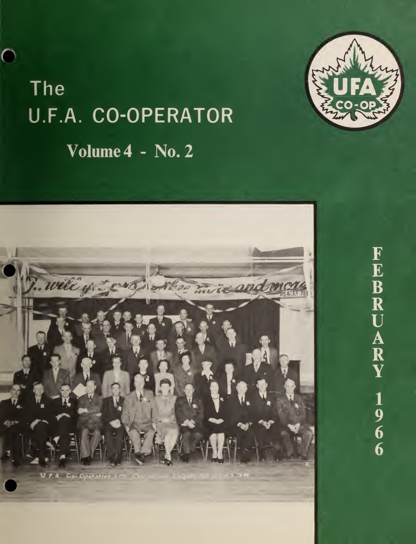# The U.F.A. CO-OPERATOR Volume 4 - No. 2

C



FEBRUARY

 $\begin{array}{c}\n\overline{1} \\
9 \\
6 \\
6\n\end{array}$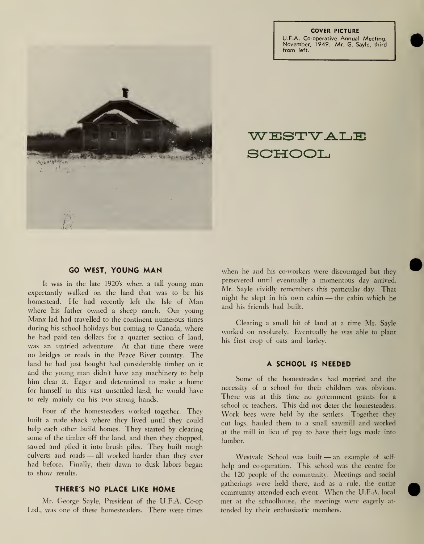COVER PICTURE U.F.A. Co-operative Annual Meeting, November, 1949. Mr. G. Sayle, third from left.



WESTVALE SCHOOL

#### GO WEST, YOUNG MAN

It was in the late 1920's when <sup>a</sup> tall young man expectantly walked on the land that was to be his homestead. He had recently left the Isle of Man where his father owned <sup>a</sup> sheep ranch. Our young Manx lad had travelled to the continent numerous times during his school holidays but coming to Canada, where he had paid ten dollars for a quarter section of land, was an untried adventure. At that time there were no bridges or roads in the Peace River country. The land he had just bought had considerable timber on it and the young man didn't have any machinery to help him clear it. Eager and determined to make <sup>a</sup> home for himself in this vast unsettled land, he would have to rely mainly on his two strong hands.

Four of the homesteaders worked together. They built a rude shack where they lived until they could help each other build homes. They started by clearing some of the timber off the land, and then they chopped, sawed and piled it into brush piles. They built rough culverts and roads — all worked harder than they ever had before. Finally, their dawn to dusk labors began to show results.

#### THERE'S NO PLACE LIKE HOME

Mr. George Sayle, President of the U.F.A. Co-op Ltd., was one of these homesteaders. There were times

when he and his co-workers were discouraged but they persevered until eventually a momentous day arrived. Mr. Sayle vividly remembers this particular day. That night he slept in his own cabin — the cabin which he and his friends had built.

Clearing a small bit of land at a time Mr. Sayle worked on resolutely. Eventually he was able to plant his first crop of oats and barley.

#### A SCHOOL IS NEEDED

Some of the homesteaders had married and the necessity of a school for their children was obvious. There was at this time no government grants for a school or teachers. This did not deter the homesteaders. Work bees were held by the settlers. Together they cut logs, hauled them to a small sawmill and worked at the mill in lieu of pay to have their logs made into lumber.

Westvale School was built — an example of self help and co-operation. This school was the centre for the 120 people of the community. Meetings and social gatherings were held there, and as a rule, the entire community attended each event. When the U.F.A. local met at the schoolhouse, the meetings were eagerly at tended by their enthusiastic members.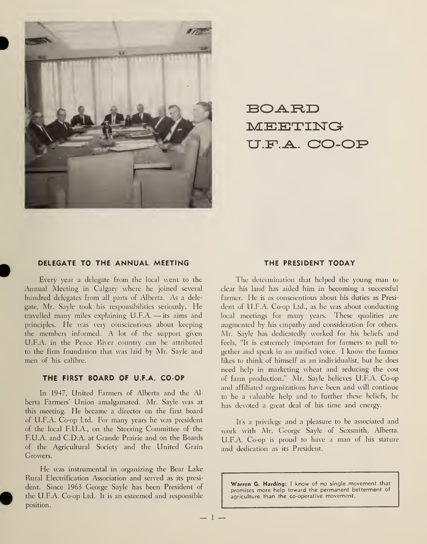

BOARD MEETING U.F.A. CO-OP

#### DELEGATE TO THE ANNUAL MEETING THE PRESIDENT TODAY

Every year a delegate from the local went to the Annual Meeting in Calgary where he joined several hundred delegates from all parts of Alberta. As a delegate, Mr. Sayle took his responsibilities seriously. He travelled many miles explaining U.F.A. — its aims and principles. He was very conscientious about keeping the members informed. A lot of the support given U.F.A. in the Peace River country can be attributed to the firm foundation that was laid by Mr. Sayle and men of his calibre.

#### THE FIRST BOARD OF U.F.A. CO-OP

In 1947, United Farmers of Alberta and the Al berta Farmers' Union amalgamated. Mr. Sayle was at this meeting. He became <sup>a</sup> director on the first board of U.F.A. Co-op Ltd. For many years he was president of the local F.U.A., on the Steering Committee of the F.U.A. and CD.A. at Grande Prairie and on the Boards of the Agricultural Society and the United Grain Growers.

He was instrumental in organizing the Bear Lake Rural Electrification Association and served as its presi dent. Since 1963 George Sayle has been President of the U.F.A. Co-op Ltd. It is an esteemed and responsible position.

The determination that helped the young man to clear his land has aided him in becoming a successful farmer. He is as conscientious about his duties as Presi dent of U.F.A. Co-op Ltd., as he was about conducting local meetings for many years. These qualities are augmented by his empathy and consideration for others. Mr. Sayle has dedicatedly worked for his beliefs and feels, "It is extremely important for farmers to pull to gether and speak in an unified voice. <sup>I</sup> know the farmer likes to think of himself as an individualist, but he does need help in marketing wheat and reducing the cost of farm production." Mr. Sayle believes U.F.A. Co-op and affiliated organizations have been and will continue to be <sup>a</sup> valuable help and to further these beliefs, he has devoted <sup>a</sup> great deal of his time and energy.

It's <sup>a</sup> privilege and a pleasure to be associated and work with Mr. George Sayle of Sexsmith, Alberta. U.F.A. Co-op is proud to have <sup>a</sup> man of his stature and dedication as its President.

Warren G. Harding: I know of no single movement that promises more help toward the permanent betterment of agriculture than the co-operative movement.

 $-1-$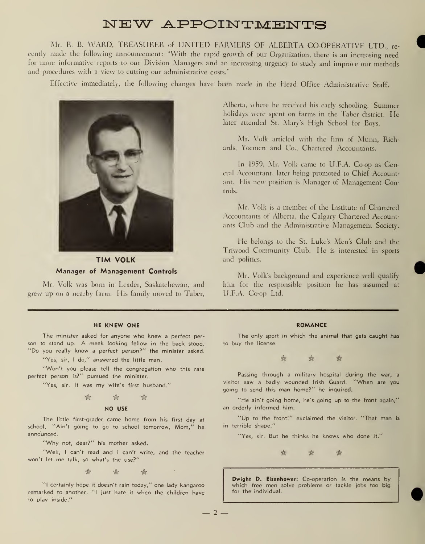### NEW APPOINTMENTS

Mr. R. B. WARD, TREASURER of UNITED FARMERS OF ALBERTA CO-OPERATIVE LTD., re cently made the following announcement: "With the rapid growth of our Organization, there is an increasing need for more informative reports to our Division Managers and an increasing urgency to study and improve our methods and procedures with a view to cutting our administrative costs."

Effective immediately, the following changes have been made in the Head Office Administrative Staff.



TIM VOLK Manager of Management Controls

Mr. Volk was born in Leader, Saskatchewan, and grew up on a nearby farm. His family moved to Taber,

#### HE KNEW ONE

The minister asked for anyone who knew <sup>a</sup> perfect per son to stand up. A meek looking fellow in the back stood. "Do you really know <sup>a</sup> perfect person?" the minister asked.

"Yes, sir, I do," answered the little man.

"Won't you please tell the congregation who this rare perfect person is?" pursued the minister.

"Yes, sir. It was my wife's first husband."

$$
\qquad \qquad \mathfrak{A}\qquad \qquad \mathfrak{A}\qquad \qquad
$$

#### NO USE

The little first-grader came home from his first day at school. "Ain't going to go to school tomorrow, Mom," he announced.

"Why not, dear?" his mother asked.

"Well, <sup>I</sup> can't read and <sup>I</sup> can't write, and the teacher won't let me talk, so what's the use?"

 $\qquad \qquad \qquad \qquad \hat{\mathbb{R}}$ 

"I certainly hope it doesn't rain today," one lady kangaroo remarked to another. "I just hate it when the children have to play inside."

Alberta, where he received his early schooling. Summer holidays were spent on farms in the Taber district. He later attended St. Mary's High School for Boys.

Mr. Volk articled with the firm of Munn, Richards, Yoemen and Co., Chartered Accountants.

In 1959, Mr. Volk came to U.F.A. Co-op as General Accountant, later being promoted to Chief Accountant. His new position is Manager of Management Controls.

Mr. Volk is <sup>a</sup> member of the Institute of Chartered .Accountants of Alberta, the Calgary Chartered Accountants Club and the Administrative Management Society.

He belongs to the St. Luke's Men's Club and the Triwood Community Club. He is interested in sports and politics.

Mr. Volk's background and experience well qualify him for the responsible position he has assumed at LI.F.A. Co-op Ltd.

#### ROMANCE

The only sport in which the animal that gets caught has to buy the license.



Passing through a military hospital during the war, a visitor saw <sup>a</sup> badly wounded Irish Guard. "When are you going to send this man home?" he inquired.

"He ain't going home, he's going up to the front again," an orderly informed him.

"Up to the front!" exclaimed the visitor. "That man is in terrible shape."

"Yes, sir. But he thinks he knows who done it.'



Dwight D. Eisenhower: Co-operation is the means by which free men solve problems or tackle jobs too big for the individual

 $-2-$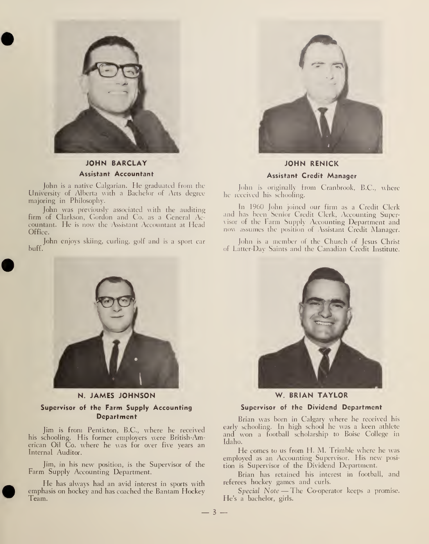

#### JOHN BARCLAY Assistant Accountant

John is <sup>a</sup> native Calgarian. He graduated from the University of Alberta with a Bachelor of Arts degree majoring in Philosophy.

John was previously associated with the auditing firm of Clarkson, Gordon and Co. as a General Accountant. He is now the Assistant Accountant at Head Office.

John enjoys skiing, curling, golf and is a sport car huff.



JOHN RENICK Assistant Credit Manager

John is originally from Cranbrook, B.C., where he received his schooling.

In I960 John joined our firm as a Credit Clerk and has been Senior Credit Clerk, Accounting Supervisor of the Farm Supply Accounting Department and now assumes the position of Assistant Credit Manager.

fohn is <sup>a</sup> member ot the Church of Jesus Christ of Latter-Day Saints and the Canadian Credit Institute.



N. JAMES JOHNSON Supervisor of the Farm Supply Accounting Department

Jim is from Penticton, B.C., where he received his schooling. His former employers were British-American Oil Co. where he was for over five years an Internal Auditor.

Jim, in his new position, is the Supervisor of the Farm Supply Accounting Department.

He has always had an avid interest in sports with emphasis on hockey and has coached the Bantam Hockey I eam.



W. BRIAN TAYLOR

#### Supervisor of the Dividend Department

Brian was born in Calgary where he received his early schooling. In high school he was a keen athlete and won <sup>a</sup> football scholarship to Boise College in Idaho.

He comes to us from H. M. Trimble where he was employed as an Accounting Supervisor. His new posi tion is Supervisor of the Dividend Department.

Brian has retained his interest in football, and referees hockey games and curls.

Special Note — The Co-operator keeps <sup>a</sup> promise. He's a bachelor, girls.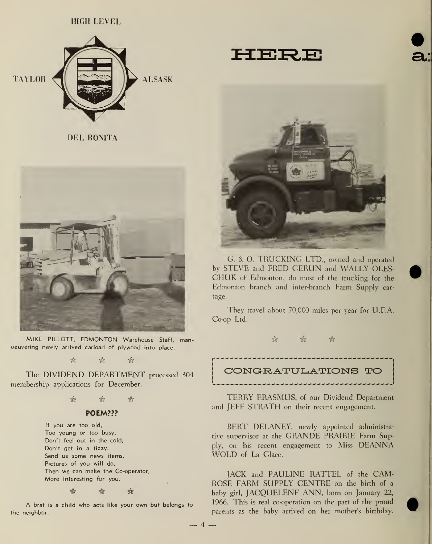#### HIGH LEVEL





DEL BONITA



MIKE PILLOTT, EDMONTON Warehouse Staff, manoeuvering newly arrived carload of plywood into place.

 $\mathbb{R}$  if  $\mathbb{R}$  if  $\mathbb{R}$ 

The DIVIDEND DEPARTMENT processed <sup>304</sup> membership applications for December.

 $\hat{r}$  if  $\hat{r}$ 

#### POEM???

If you are too old, Too young or too busy, Don't feel out in the cold, Don't get in a tizzy. Send us some news items, Pictures of you will do, Then we can make the Co-operator, More interesting for you.

 $\mathfrak{B}$  if  $\mathfrak{B}$  if  $\mathfrak{B}$ 

A brat is <sup>a</sup> child who acts like your own but belongs to the neighbor.

 $-4$ .



G. & O. TRUCKING LTD., owned and operated by STEVE and FRED GERUN and WALLY OLES-CHUK of Edmonton, do most of the trucking for the Edmonton branch and inter-branch Farm Supply car tage.

They travel about 70,000 miles per year for U.F.A. Co-op Ltd.

\* \* &

CONGRATULATIONS TO

TERRY ERASMUS, of our Dividend Department and JEFF STRATH on their recent engagement.

BERT DELANEY, newly appointed administrative supervisor at the GRANDE PRAIRIE Farm Supply, on his recent engagement to Miss DEANNA WOLD of La Glace.

JACK and PAULINE RATTEL of the CAM-ROSE FARM SUPPLY CENTRE on the birth of <sup>a</sup> baby girl, JACQUELENE ANN, born on January 22, 1966. This is real co-operation on the part of the proud parents as the baby arrived on her mother's birthday.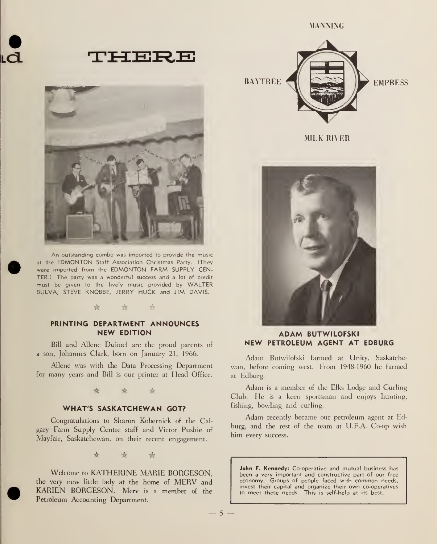



An outstanding combo was imported to provide the music at the EDMONTON Staff Association Christmas Party. (They were imported from the EDMONTON FARM SUPPLY CEN-TER.) The party was <sup>a</sup> wonderful success and a lot of credit must be given to the lively music provided by WALTER BULVA, STEVE KNOBBE, JERRY HUCK and JIM DAVIS.

#### ☆  $\frac{1}{2}$  $\frac{1}{2}$

#### PRINTING DEPARTMENT ANNOUNCES NEW EDITION

Bill and Allene Duimel are the proud parents of a son, Johannes Clark, born on January 21, 1966.

Allene was with the Data Processing Department for many years and Bill is our printer at Head Office.

> \*  $\frac{1}{2}$ ☆

#### WHAT'S SASKATCHEWAN GOT?

Congratulations to Sharon Kobernick of the Calgary Farm Supply Centre staff and Victor Pushie of Mayfair, Saskatchewan, on their recent engagement.

> \* ☆ 愈

Welcome to KATHERINE MARIE BORGESON, the very new little lady at the home of MERV and KARIEN BORGESON. Merv is <sup>a</sup> member of the Petroleum Accounting Department.



MIEK RIVER



#### ADAM BUTWILOFSKI NEW PETROLEUM AGENT AT EDBURG

Adam Butwilofski farmed at Unity, Saskatche wan, before coming west. From 1948-1960 he farmed at Edburg.

Adam is <sup>a</sup> member of the Elks Lodge and Curling Club. He is <sup>a</sup> keen sportsman and enjoys hunting, fishing, bowling and curling.

Adam recently became our petroleum agent at Edburg, and the rest of the team at U.F.A. Co-op wish him every success.

John F. Kennedy: Co-operative and mutual business has been a very important and constructive part of our free economy. Groups of people faced with common needs, invest their capital and organize their own co-operatives to meet these needs. This is self-help at its best.

 $-5-$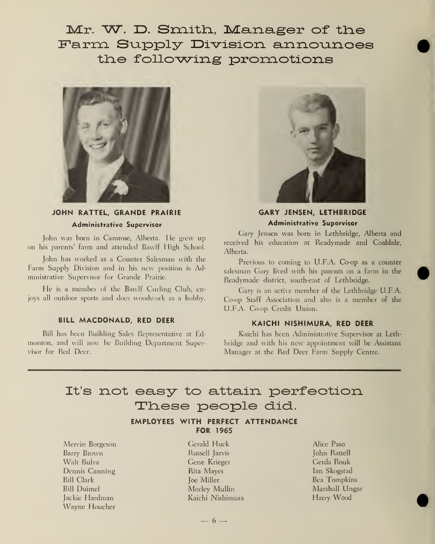Mr. W. D. Smith, Manager of the Farm Supply Division announces the following promotions



#### JOHN RATTEL, GRANDE PRAIRIE Administrative Supervisor

John was born in Camrose, Alberta. He grew up on his parents' farm and attended Bawlf High School.

John has worked as a Counter Salesman with the Farm Supply Division and in his new position is Administrative Supervisor for Grande Prairie.

He is <sup>a</sup> member of the Bawlf Curling Club, enjoys all outdoor sports and does woodwork as <sup>a</sup> hobby.

#### BILL MACDONALD, RED DEER

Bill has been Building Sales Representative at Edmonton, and will now be Building Department Supervisor for Red Deer.



GARY JENSEN, LETHBRIDGE Administrative Supervisor

Gary Jensen was born in Lethbridge, Alberta and received his education at Readymade and Coaldale, Alberta.

Previous to coming to U.F.A. Co-op as a counter salesman Gary lived with his parents on a farm in the Readymade district, south-east of Lethbridge.

Gary is an active member of the Lethbridge U.F.A. Co-op Staff Association and also is <sup>a</sup> member of the U.F.A. Co-op Credit Union.

#### KAICHI NISHIMURA, RED DEER

Kaichi has been Administrative Supervisor at Lethbridge and with his new appointment will be Assistant Manager at the Red Deer Farm Supply Centre.

## It's not easy to attain perfection These people did..

#### EMPLOYEES WITH PERFECT ATTENDANCE FOR 1965

Mervin Borgeson Barry Brown Walt Bulva Dennis Canning Bill Clark Bill Duimel Jackie Hardman Wayne Houcher

Gerald Huck Russell Jarvis Gene Krieger Rita Mayes Joe Miller Morley Mullin Kaichi Nishimura

 $-6 -$ 

Alice Paso John Rattell Gerda Rouk Ian Skogstad Bea Tompkins Marshall Ungar Harry Wood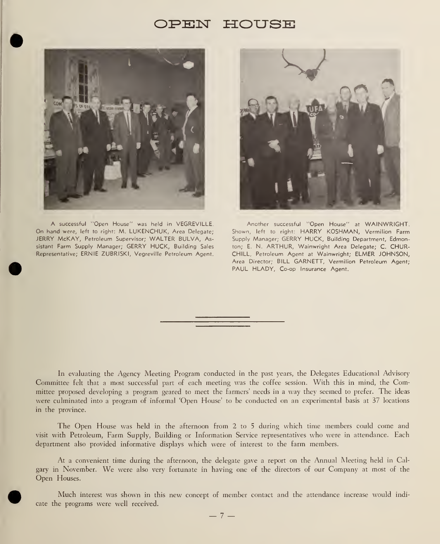### PEN HOUSE



A successful "Open House" was held in VEGREVILLE. On hand were, left to right: M. LUKENCHUK, Area Delegare; JERRY McKAY, Petroleum Supervisor; WALTER BULVA, Assistant Farm Supply Manager; GERRY HUCK, Building Sales Representative; ERNIE ZUBRISKI, Vegreville Petroleum Agent.



Another successful "Open House" at WAINWRIGHT. Shown, left to right: HARRY KOSHMAN, Vermilion Farm Supply Manager; GERRY HUCK, Building Department, Edmonton; E. N. ARTHUR, Wainwright Area Delegate; C. CHUR-CHILL, Petroleum Agent at Wainwright; ELMER JOHNSON, Area Director; BILL GARNETT, Vermilion Petroleum Agent; PAUL HLADY, Co-op Insurance Agent.

In evaluating the Agency Meeting Program conducted in the past years, the Delegates Educational Advisory Committee felt that <sup>a</sup> most successful part of each meeting was the coffee session. With this in mind, the Committee proposed developing <sup>a</sup> program geared to meet the farmers' needs in <sup>a</sup> way they seemed to prefer. The ideas were culminated into a program of informal 'Open House' to be conducted on an experimental basis at 37 locations in the province.

The Open House was held in the afternoon from 2 to <sup>5</sup> during which time members could come and visit with Petroleum, Farm Supply, Building or Information Service representatives who were in attendance. Each department also provided informative displays which were of interest to the farm members.

At a convenient time during the afternoon, the delegate gave a report on the Annual Meeting held in Calgary in November. We were also very fortunate in having one of the directors of our Company at most of the Open Houses.

Much interest was shown in this new concept of member contact and the attendance increase would indi cate the programs were well received.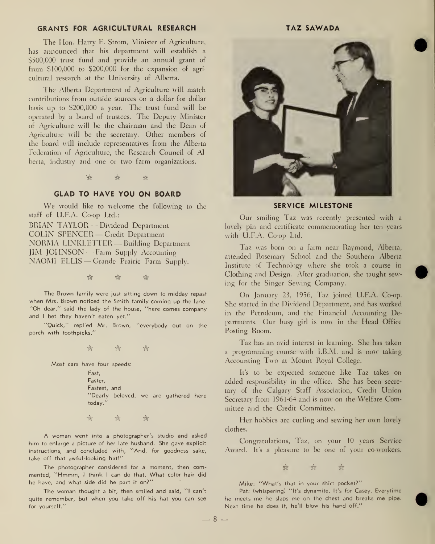#### GRANTS FOR AGRICULTURAL RESEARCH TAZ SAWADA

The Hon. Harry E. Strom, Minister of Agriculture, has announced that his department will establish a \$500,000 trust fund and provide an annual grant of from \$100,000 to \$200,000 for the expansion of agri cultural research at the University of Alberta.

The Alberta Department of Agriculture will match contributions from outside sources on a dollar for dollar basis up to \$200,000 <sup>a</sup> year. The trust fund will be operated by <sup>a</sup> board of trustees. The Deputy Minister of Agriculture will be the chairman and the Dean of Agriculture will be the secretary. Other members of the board will include representatives from the Alberta Federation of Agriculture, the Research Council of Alberta, industry and one or two farm organizations.

 $\hat{\mathscr{C}}$   $\hat{\mathscr{C}}$ 

#### GLAD TO HAVE YOU ON BOARD

We would like to welcome the following to the staff of U.F.A. Co-op Ltd.: BRIAN TAYLOR — Dividend Department COLIN SPENCER — Credit Department NORMA LINKLETTER — Building Department JIM JOHNSON — Farm Supply Accounting

NAOMI ELLIS — Crande Prairie Farm Supply.

# \* \*

The Brown family were just sitting down to midday repast when Mrs. Brown noticed the Smith family coming up the lane. "Oh dear," said the lady of the house, "here comes company and <sup>I</sup> bet they haven't eaten yet."

"Quick," replied Mr. Brown, "everybody out on the porch with toothpicks."

-k -k \*

Most cars have four speeds:

Fast, Faster, Fastest, and "Dearly beloved, we are gathered here today."

•& -k A

A woman went into <sup>a</sup> photographer's studio and asked him to enlarge a picture of her late husband. She gave explicit instructions, and concluded with, "And, for goodness sake, take off that awful-looking hat!"

The photographer considered for <sup>a</sup> moment, then commented, "Hmmm, <sup>I</sup> think <sup>I</sup> can do that. What color hair did he have, and what side did he part it on?"

The woman thought <sup>a</sup> bit, then smiled and said, "I can't quite remember, but when you take off his hat you can see for yourself."



#### SERVICE MILESTONE

Our smiling Taz was recently presented with a lovely pin and certificate commemorating her ten years with U.F.A. Co-op Ltd.

Taz was born on <sup>a</sup> farm near Raymond, Alberta, attended Rosemary School and the Southern Alberta Institute of Technology where she took a course in Clothing and Design. After graduation, she taught sewing for the Singer Sewing Company.

On January 23, 1956, Taz joined U.F.A. Co-op. She started in the Dividend Department, and has worked in the Petroleum, and the Financial Accounting Departments. Our busy girl is now in the Head Office Posting Room.

Taz has an avid interest in learning. She has taken <sup>a</sup> programming course with I.B.M. and is now taking Accounting Two at Mount Royal College.

It's to be expected someone like Taz takes on added responsibility in the office. She has been secre tary of the Calgary Staff Association, Credit Union Secretary from 1961-64 and is now on the Welfare Committee and the Credit Committee.

Her hobbies are curling and sewing her own lovely clothes.

Congratulations, Taz, on your 10 years Service Award. It's a pleasure to be one of your co-workers.

& & &

Mike: "What's that in your shirt pocket?"

Pat: (whispering) "It's dynamite. It's for Casey. Everytime he meets me he slaps me on the chest and breaks me pipe. Next time he does it, he'll blow his hand off."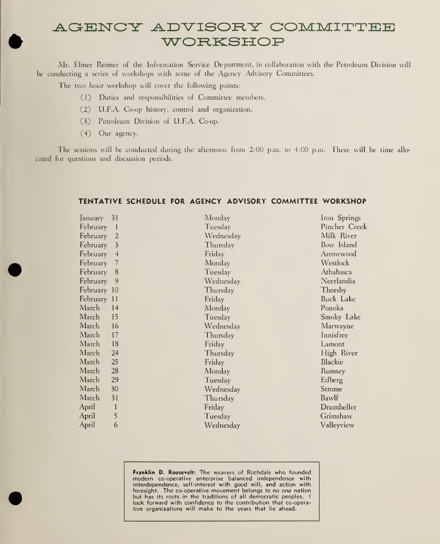## AGENCY ADVISORY COMMITTEE WORKSHOP

Mr. Elmer Reimer of the Information Service Department, in collaboration with the Petroleum Division will be conducting a series of workshops with some of the Agency Advisory Committees.

The two hour workshop will cover the following points:

- (1) Duties and responsibilities of Committee members.
- (2) U.F.A. Co-op history, control and organization.
- (3) Petroleum Division of U.F.A. Co-op.
- (4) Our agency.

The sessions will be conducted during the afternoon from 2:00 p.m. to 4:00 p.m. There will be time allo cated for questions and discussion periods.

#### TENTATIVE SCHEDULE FOR AGENCY ADVISORY COMMITTEE WORKSHOP

| January     | 31             | Monday    | Iron Springs  |
|-------------|----------------|-----------|---------------|
| February    | - 1            | Tuesday   | Pincher Creek |
| February    | $\overline{2}$ | Wednesday | Milk River    |
| February    | 3              | Thursday  | Bow Island    |
| February    | 4              | Friday    | Arrowwood     |
| February    | 7              | Monday    | Westlock      |
| February    | 8              | Tuesday   | Athabasca     |
| February    | 9              | Wednesday | Neerlandia    |
| February 10 |                | Thursday  | Thorsby       |
| February 11 |                | Friday    | Buck Lake     |
| March       | 14             | Monday    | Ponoka        |
| March       | 15             | Tuesday   | Smoky Lake    |
| March       | 16             | Wednesday | Marwayne      |
| March       | 17             | Thursday  | Innisfree     |
| March       | 18             | Friday    | Lamont        |
| March       | 24             | Thursday  | High River    |
| March       | 25             | Friday    | Blackie       |
| March       | 28             | Monday    | Rumsey        |
| March       | 29             | Tuesday   | Edberg        |
| March       | 30             | Wednesday | Strome        |
| March       | 31             | Thursday  | Bawlf         |
| April       | I              | Friday    | Drumheller    |
| April       | 5              | Tuesday   | Grimshaw      |
| April       | 6              | Wednesday | Valleyview    |
|             |                |           |               |

Franklin D. Roosevelt: The weavers of Rochdale who founded modern co-operative enterprise balanced independence with interdependence, self-interest with good will, and action with foresight. The co-operative movement belongs to no one nation but has its roots in the traditions of all democratic peoples. <sup>I</sup> look forward with confidence to the contribution that co-operative organizations will make to the years that lie ahead.